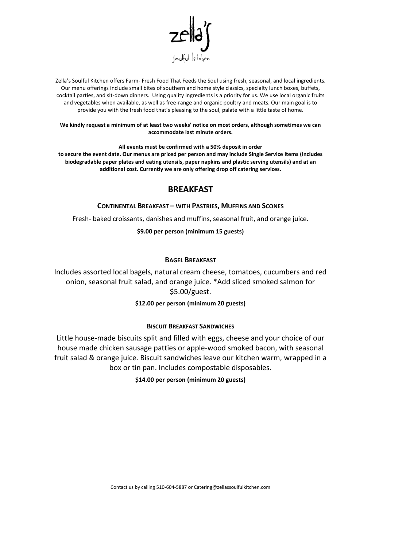

Zella's Soulful Kitchen offers Farm- Fresh Food That Feeds the Soul using fresh, seasonal, and local ingredients. Our menu offerings include small bites of southern and home style classics, specialty lunch boxes, buffets, cocktail parties, and sit-down dinners. Using quality ingredients is a priority for us. We use local organic fruits and vegetables when available, as well as free-range and organic poultry and meats. Our main goal is to provide you with the fresh food that's pleasing to the soul, palate with a little taste of home.

## **We kindly request a minimum of at least two weeks' notice on most orders, although sometimes we can accommodate last minute orders.**

**All events must be confirmed with a 50% deposit in order to secure the event date. Our menus are priced per person and may include Single Service Items (Includes biodegradable paper plates and eating utensils, paper napkins and plastic serving utensils) and at an additional cost. Currently we are only offering drop off catering services.** 

# **BREAKFAST**

## **CONTINENTAL BREAKFAST – WITH PASTRIES, MUFFINS AND SCONES**

Fresh- baked croissants, danishes and muffins, seasonal fruit, and orange juice.

**\$9.00 per person (minimum 15 guests)**

## **BAGEL BREAKFAST**

Includes assorted local bagels, natural cream cheese, tomatoes, cucumbers and red onion, seasonal fruit salad, and orange juice. \*Add sliced smoked salmon for \$5.00/guest.

## **\$12.00 per person (minimum 20 guests)**

## **BISCUIT BREAKFAST SANDWICHES**

Little house-made biscuits split and filled with eggs, cheese and your choice of our house made chicken sausage patties or apple-wood smoked bacon, with seasonal fruit salad & orange juice. Biscuit sandwiches leave our kitchen warm, wrapped in a box or tin pan. Includes compostable disposables.

## **\$14.00 per person (minimum 20 guests)**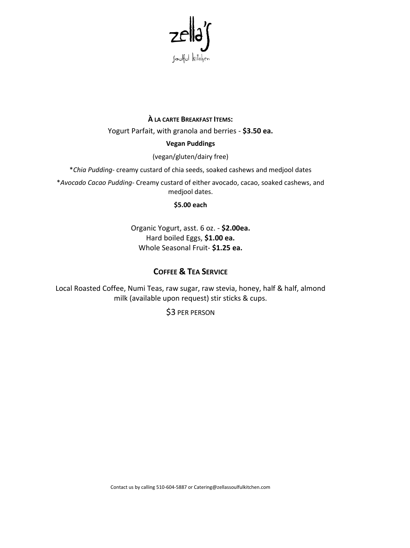

# À LA CARTE BREAKFAST ITEMS:

Yogurt Parfait, with granola and berries - \$3.50 ea.

## **Vegan Puddings**

(vegan/gluten/dairy free)

\*Chia Pudding- creamy custard of chia seeds, soaked cashews and medjool dates

\*Avocado Cacao Pudding- Creamy custard of either avocado, cacao, soaked cashews, and medjool dates.

## \$5.00 each

Organic Yogurt, asst. 6 oz. - \$2.00ea. Hard boiled Eggs, \$1.00 ea. Whole Seasonal Fruit-\$1.25 ea.

# **COFFEE & TEA SERVICE**

Local Roasted Coffee, Numi Teas, raw sugar, raw stevia, honey, half & half, almond milk (available upon request) stir sticks & cups.

\$3 PER PERSON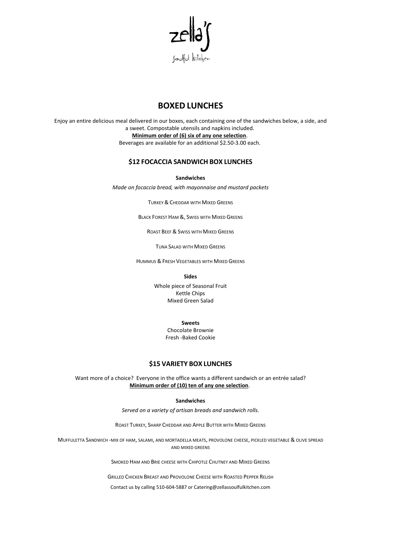

# **BOXED LUNCHES**

Enjoy an entire delicious meal delivered in our boxes, each containing one of the sandwiches below, a side, and a sweet. Compostable utensils and napkins included. **Minimum order of (6) six of any one selection**. Beverages are available for an additional \$2.50-3.00 each.

## **\$12 FOCACCIA SANDWICH BOX LUNCHES**

**Sandwiches**

*Made on focaccia bread, with mayonnaise and mustard packets*

TURKEY & CHEDDAR WITH MIXED GREENS

BLACK FOREST HAM &, SWISS WITH MIXED GREENS

ROAST BEEF & SWISS WITH MIXED GREENS

TUNA SALAD WITH MIXED GREENS

HUMMUS & FRESH VEGETABLES WITH MIXED GREENS

**Sides**

Whole piece of Seasonal Fruit Kettle Chips Mixed Green Salad

**Sweets**

Chocolate Brownie Fresh -Baked Cookie

## **\$15 VARIETY BOX LUNCHES**

Want more of a choice? Everyone in the office wants a different sandwich or an entrée salad? **Minimum order of (10) ten of any one selection**.

#### **Sandwiches**

*Served on a variety of artisan breads and sandwich rolls.*

ROAST TURKEY, SHARP CHEDDAR AND APPLE BUTTER WITH MIXED GREENS

MUFFULETTA SANDWICH -MIX OF HAM, SALAMI, AND MORTADELLA MEATS, PROVOLONE CHEESE, PICKLED VEGETABLE & OLIVE SPREAD AND MIXED GREENS

SMOKED HAM AND BRIE CHEESE WITH CHIPOTLE CHUTNEY AND MIXED GREENS

GRILLED CHICKEN BREAST AND PROVOLONE CHEESE WITH ROASTED PEPPER RELISH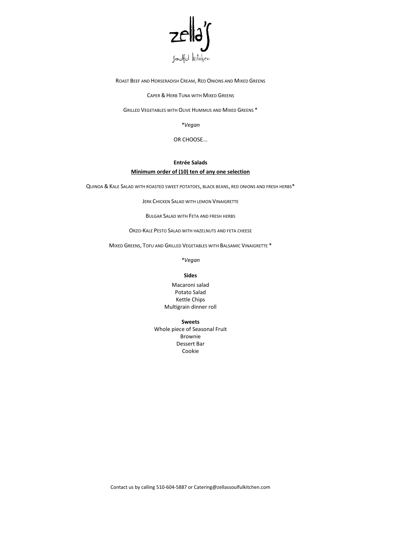

ROAST BEEF AND HORSERADISH CREAM, RED ONIONS AND MIXED GREENS

CAPER & HERB TUNA WITH MIXED GREENS

GRILLED VEGETABLES WITH OLIVE HUMMUS AND MIXED GREENS \*

*\*Vegan*

OR CHOOSE...

# **Entrée Salads**

### **Minimum order of (10) ten of any one selection**

QUINOA & KALE SALAD WITH ROASTED SWEET POTATOES, BLACK BEANS, RED ONIONS AND FRESH HERBS\*

JERK CHICKEN SALAD WITH LEMON VINAIGRETTE

BULGAR SALAD WITH FETA AND FRESH HERBS

ORZO-KALE PESTO SALAD WITH HAZELNUTS AND FETA CHEESE

MIXED GREENS, TOFU AND GRILLED VEGETABLES WITH BALSAMIC VINAIGRETTE \*

*\*Vegan*

#### **Sides**

Macaroni salad Potato Salad Kettle Chips Multigrain dinner roll

**Sweets**

Whole piece of Seasonal Fruit Brownie Dessert Bar Cookie